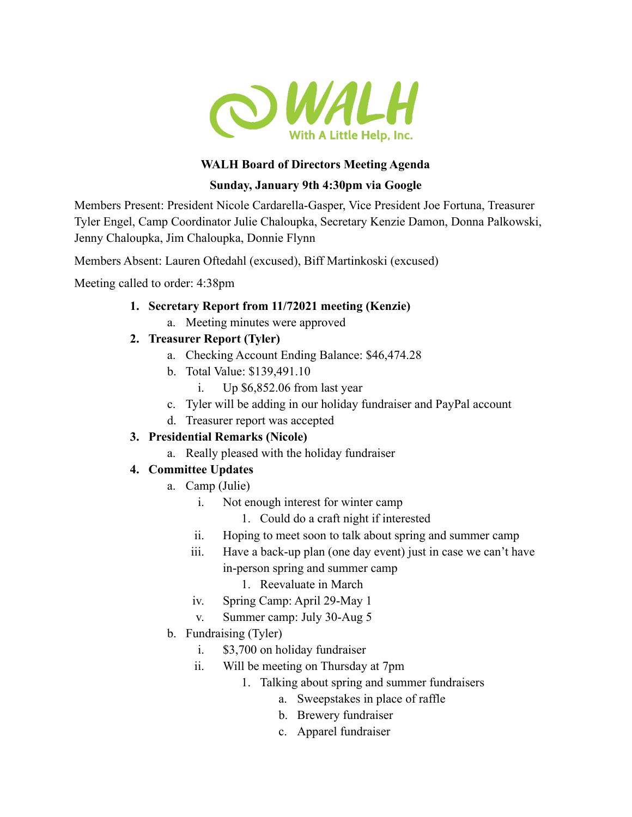

#### **WALH Board of Directors Meeting Agenda**

#### **Sunday, January 9th 4:30pm via Google**

Members Present: President Nicole Cardarella-Gasper, Vice President Joe Fortuna, Treasurer Tyler Engel, Camp Coordinator Julie Chaloupka, Secretary Kenzie Damon, Donna Palkowski, Jenny Chaloupka, Jim Chaloupka, Donnie Flynn

Members Absent: Lauren Oftedahl (excused), Biff Martinkoski (excused)

Meeting called to order: 4:38pm

- **1. Secretary Report from 11/72021 meeting (Kenzie)**
	- a. Meeting minutes were approved
- **2. Treasurer Report (Tyler)**
	- a. Checking Account Ending Balance: \$46,474.28
	- b. Total Value: \$139,491.10
		- i. Up \$6,852.06 from last year
	- c. Tyler will be adding in our holiday fundraiser and PayPal account
	- d. Treasurer report was accepted

# **3. Presidential Remarks (Nicole)**

a. Really pleased with the holiday fundraiser

# **4. Committee Updates**

- a. Camp (Julie)
	- i. Not enough interest for winter camp
		- 1. Could do a craft night if interested
	- ii. Hoping to meet soon to talk about spring and summer camp
	- iii. Have a back-up plan (one day event) just in case we can't have in-person spring and summer camp
		- 1. Reevaluate in March
	- iv. Spring Camp: April 29-May 1
	- v. Summer camp: July 30-Aug 5
- b. Fundraising (Tyler)
	- i. \$3,700 on holiday fundraiser
	- ii. Will be meeting on Thursday at 7pm
		- 1. Talking about spring and summer fundraisers
			- a. Sweepstakes in place of raffle
			- b. Brewery fundraiser
			- c. Apparel fundraiser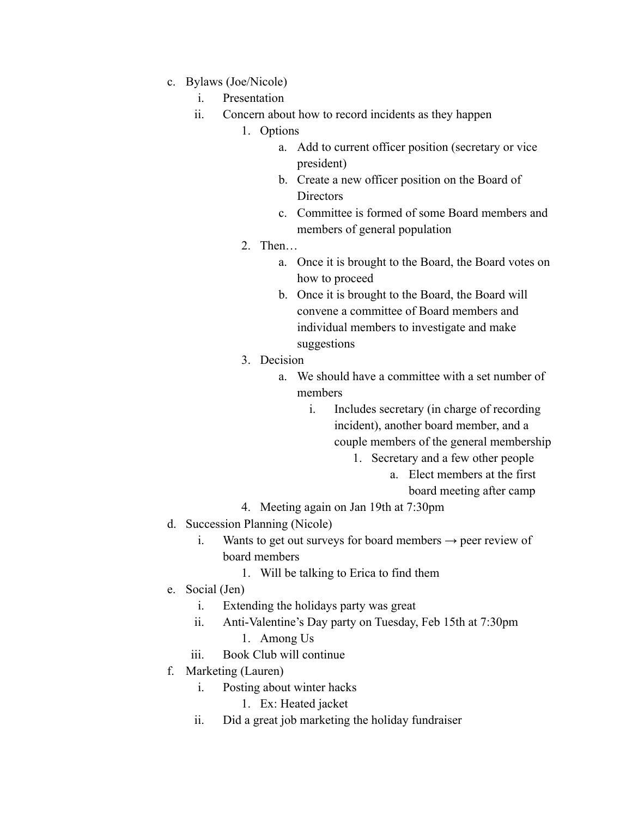- c. Bylaws (Joe/Nicole)
	- i. Presentation
	- ii. Concern about how to record incidents as they happen
		- 1. Options
			- a. Add to current officer position (secretary or vice president)
			- b. Create a new officer position on the Board of **Directors**
			- c. Committee is formed of some Board members and members of general population
		- 2. Then…
			- a. Once it is brought to the Board, the Board votes on how to proceed
			- b. Once it is brought to the Board, the Board will convene a committee of Board members and individual members to investigate and make suggestions
		- 3. Decision
			- a. We should have a committee with a set number of members
				- i. Includes secretary (in charge of recording incident), another board member, and a couple members of the general membership
					- 1. Secretary and a few other people
						- a. Elect members at the first
							- board meeting after camp
		- 4. Meeting again on Jan 19th at 7:30pm
- d. Succession Planning (Nicole)
	- i. Wants to get out surveys for board members  $\rightarrow$  peer review of board members
		- 1. Will be talking to Erica to find them
- e. Social (Jen)
	- i. Extending the holidays party was great
	- ii. Anti-Valentine's Day party on Tuesday, Feb 15th at 7:30pm
		- 1. Among Us
	- iii. Book Club will continue
- f. Marketing (Lauren)
	- i. Posting about winter hacks
		- 1. Ex: Heated jacket
	- ii. Did a great job marketing the holiday fundraiser